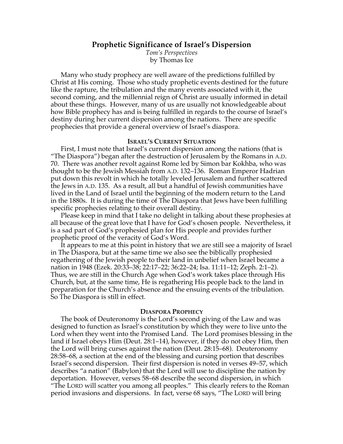# **Prophetic Significance of Israel's Dispersion**

*Tom's Perspectives* by Thomas Ice

Many who study prophecy are well aware of the predictions fulfilled by Christ at His coming. Those who study prophetic events destined for the future like the rapture, the tribulation and the many events associated with it, the second coming, and the millennial reign of Christ are usually informed in detail about these things. However, many of us are usually not knowledgeable about how Bible prophecy has and is being fulfilled in regards to the course of Israel's destiny during her current dispersion among the nations. There are specific prophecies that provide a general overview of Israel's diaspora.

#### **ISRAEL'S CURRENT SITUATION**

First, I must note that Israel's current dispersion among the nations (that is "The Diaspora") began after the destruction of Jerusalem by the Romans in A.D. 70. There was another revolt against Rome led by Simon bar Kokhba, who was thought to be the Jewish Messiah from A.D. 132–136. Roman Emperor Hadrian put down this revolt in which he totally leveled Jerusalem and further scattered the Jews in A.D. 135. As a result, all but a handful of Jewish communities have lived in the Land of Israel until the beginning of the modern return to the Land in the 1880s. It is during the time of The Diaspora that Jews have been fulfilling specific prophecies relating to their overall destiny.

Please keep in mind that I take no delight in talking about these prophesies at all because of the great love that I have for God's chosen people. Nevertheless, it is a sad part of God's prophesied plan for His people and provides further prophetic proof of the veracity of God's Word.

It appears to me at this point in history that we are still see a majority of Israel in The Diaspora, but at the same time we also see the biblically prophesied regathering of the Jewish people to their land in unbelief when Israel became a nation in 1948 (Ezek. 20:33–38; 22:17–22; 36:22–24; Isa. 11:11–12; Zeph. 2:1–2). Thus, we are still in the Church Age when God's work takes place through His Church, but, at the same time, He is regathering His people back to the land in preparation for the Church's absence and the ensuing events of the tribulation. So The Diaspora is still in effect.

## **DIASPORA PROPHECY**

The book of Deuteronomy is the Lord's second giving of the Law and was designed to function as Israel's constitution by which they were to live unto the Lord when they went into the Promised Land. The Lord promises blessing in the land if Israel obeys Him (Deut. 28:1–14), however, if they do not obey Him, then the Lord will bring curses against the nation (Deut. 28:15–68). Deuteronomy 28:58–68, a section at the end of the blessing and cursing portion that describes Israel's second dispersion. Their first dispersion is noted in verses 49–57, which describes "a nation" (Babylon) that the Lord will use to discipline the nation by deportation. However, verses 58–68 describe the second dispersion, in which "The LORD will scatter you among all peoples." This clearly refers to the Roman period invasions and dispersions. In fact, verse 68 says, "The LORD will bring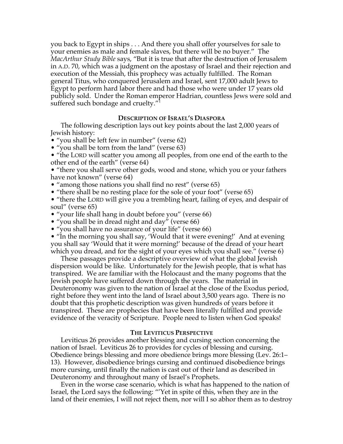you back to Egypt in ships . . . And there you shall offer yourselves for sale to your enemies as male and female slaves, but there will be no buyer." The *MacArthur Study Bible* says, "But it is true that after the destruction of Jerusalem in A.D. 70, which was a judgment on the apostasy of Israel and their rejection and execution of the Messiah, this prophecy was actually fulfilled. The Roman general Titus, who conquered Jerusalem and Israel, sent 17,000 adult Jews to Egypt to perform hard labor there and had those who were under 17 years old publicly sold. Under the Roman emperor Hadrian, countless Jews were sold and suffered such bondage and cruelty."<sup>1</sup>

#### **DESCRIPTION OF ISRAEL'S DIASPORA**

The following description lays out key points about the last 2,000 years of Jewish history:

• "you shall be left few in number" (verse 62)

• "you shall be torn from the land" (verse 63)

• "the LORD will scatter you among all peoples, from one end of the earth to the other end of the earth" (verse 64)

• "there you shall serve other gods, wood and stone, which you or your fathers have not known" (verse 64)

- "among those nations you shall find no rest" (verse 65)
- "there shall be no resting place for the sole of your foot" (verse 65)

• "there the LORD will give you a trembling heart, failing of eyes, and despair of soul" (verse 65)

• "your life shall hang in doubt before you" (verse 66)

• "you shall be in dread night and day" (verse 66)

• "you shall have no assurance of your life" (verse 66)

• "In the morning you shall say, 'Would that it were evening!' And at evening you shall say 'Would that it were morning!' because of the dread of your heart which you dread, and for the sight of your eyes which you shall see." (verse 6)

These passages provide a descriptive overview of what the global Jewish dispersion would be like. Unfortunately for the Jewish people, that is what has transpired. We are familiar with the Holocaust and the many pogroms that the Jewish people have suffered down through the years. The material in Deuteronomy was given to the nation of Israel at the close of the Exodus period, right before they went into the land of Israel about 3,500 years ago. There is no doubt that this prophetic description was given hundreds of years before it transpired. These are prophecies that have been literally fulfilled and provide evidence of the veracity of Scripture. People need to listen when God speaks!

### **THE LEVITICUS PERSPECTIVE**

Leviticus 26 provides another blessing and cursing section concerning the nation of Israel. Leviticus 26 to provides for cycles of blessing and cursing. Obedience brings blessing and more obedience brings more blessing (Lev. 26:1– 13). However, disobedience brings cursing and continued disobedience brings more cursing, until finally the nation is cast out of their land as described in Deuteronomy and throughout many of Israel's Prophets.

Even in the worse case scenario, which is what has happened to the nation of Israel, the Lord says the following: "'Yet in spite of this, when they are in the land of their enemies, I will not reject them, nor will I so abhor them as to destroy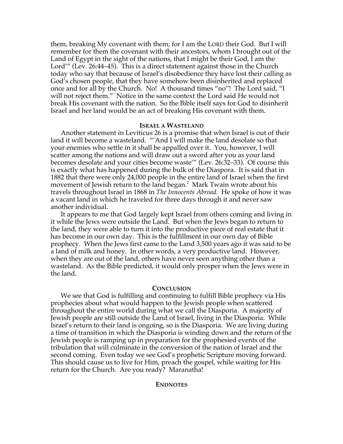them, breaking My covenant with them; for I am the LORD their God. But I will remember for them the covenant with their ancestors, whom I brought out of the Land of Egypt in the sight of the nations, that I might be their God, I am the Lord'" (Lev. 26:44–45). This is a direct statement against those in the Church today who say that because of Israel's disobedience they have lost their calling as God's chosen people, that they have somehow been disinherited and replaced once and for all by the Church. No! A thousand times "no"! The Lord said, "I will not reject them." Notice in the same context the Lord said He would not break His covenant with the nation. So the Bible itself says for God to disinherit Israel and her land would be an act of breaking His covenant with them.

#### **ISRAEL A WASTELAND**

Another statement in Leviticus 26 is a promise that when Israel is out of their land it will become a wasteland. "'And I will make the land desolate so that your enemies who settle in it shall be appalled over it. You, however, I will scatter among the nations and will draw out a sword after you as your land becomes desolate and your cities become waste'" (Lev. 26:32–33). Of course this is exactly what has happened during the bulk of the Diaspora. It is said that in 1882 that there were only 24,000 people in the entire land of Israel when the first movement of Jewish return to the land began. $^2$  Mark Twain wrote about his travels throughout Israel in 1868 in *The Innocents Abroad*. He spoke of how it was a vacant land in which he traveled for three days through it and never saw another individual.

It appears to me that God largely kept Israel from others coming and living in it while the Jews were outside the Land. But when the Jews began to return to the land, they were able to turn it into the productive piece of real estate that it has become in our own day. This is the fulfillment in our own day of Bible prophecy. When the Jews first came to the Land 3,500 years ago it was said to be a land of milk and honey. In other words, a very productive land. However, when they are out of the land, others have never seen anything other than a wasteland. As the Bible predicted, it would only prosper when the Jews were in the land.

#### **CONCLUSION**

We see that God is fulfilling and continuing to fulfill Bible prophecy via His prophecies about what would happen to the Jewish people when scattered throughout the entire world during what we call the Diasporia. A majority of Jewish people are still outside the Land of Israel, living in the Diasporia. While Israel's return to their land is ongoing, so is the Diasporia. We are living during a time of transition in which the Diasporia is winding down and the return of the Jewish people is ramping up in preparation for the prophesied events of the tribulation that will culminate in the conversion of the nation of Israel and the second coming. Even today we see God's prophetic Scripture moving forward. This should cause us to live for Him, preach the gospel, while waiting for His return for the Church. Are you ready? Maranatha!

#### **ENDNOTES**